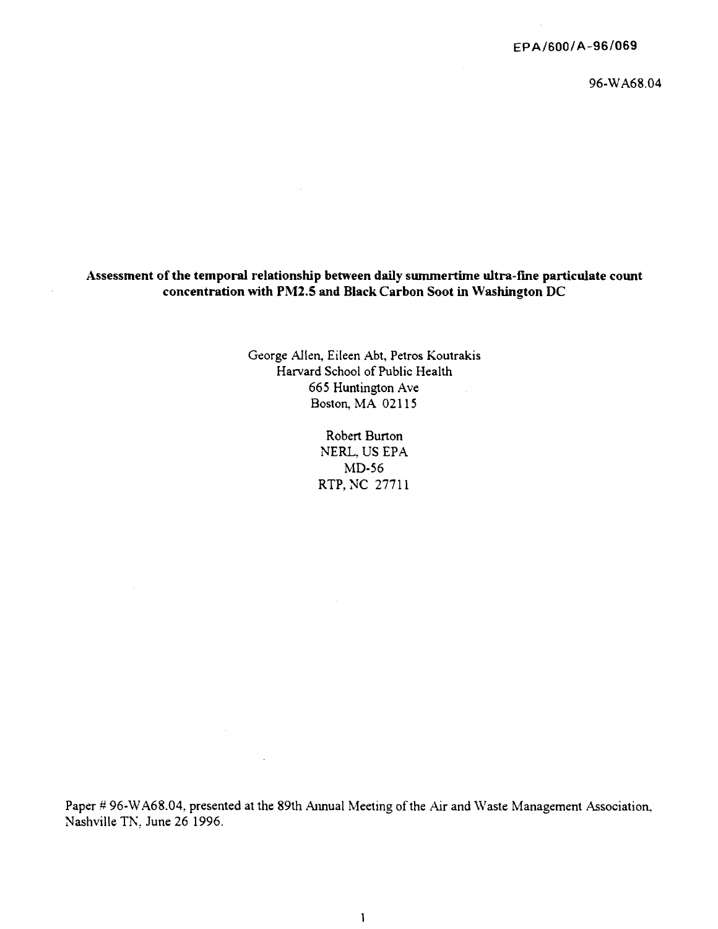# **Assessment of the temporal relationship between daily summertime ultra-fine particulate count concentration with PM2.5 and Black Carbon Soot** in **Washington** DC

George Allen, Eileen Abt, Petros Koutrakis Harvard School of Public Health 665 Huntington Ave Boston, MA 02115

> Robert Burton NERL, US EPA MD-56 RTP, NC 27711

Paper # 96-WA68.04, presented at the 89th Annual Meeting of the Air and Waste Management Association, Nashville TN, June 26 1996.

 $\bar{z}$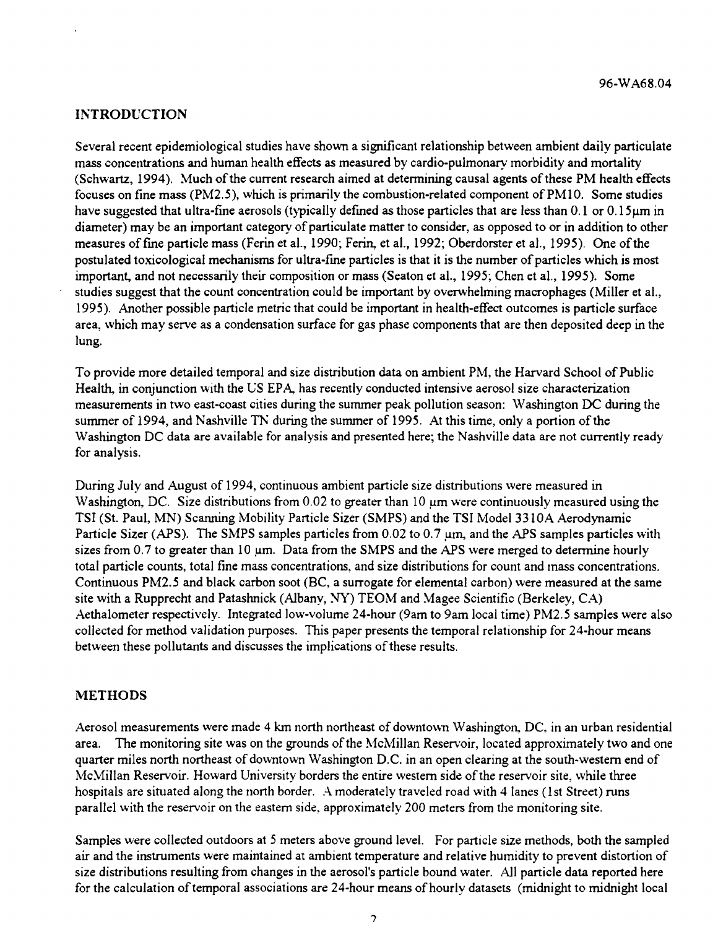# **INTRODUCTION**

Several recent epidemiological studies have shown a significant relationship between ambient daily particulate mass concentrations and human health effects as measured by cardio-pulmonary morbidity and mortality (Schwartz, 1994). Much of the current research aimed at determining causal agents of these PM health effects focuses on fine mass (PM2.5), which is primarily the combustion-related component of PMl0. Some studies have suggested that ultra-fine aerosols (typically defined as those particles that are less than 0.1 or 0.15µm in diameter) may be an important category of particulate matter to consider, as opposed to or in addition to other measures offine particle mass (Ferin et al., 1990; Fenn, et al., 1992; Oberdorster et al., 1995). One ofthe postulated toxicological mechanisms for ultra-fine particles is that it is the number of particles which is most important, and not necessarily their composition or mass (Seaton et al., 1995; Chen et al., 1995). Some studies suggest that the count concentration could be important by overwhelming macrophages (Miller et al., 1995). Another possible particle metric that could be important in health-effect outcomes is particle surface area, which may serve as a condensation surface for gas phase components that are then deposited deep in the lung.

To provide more detailed temporal and size distribution data on ambient PM, the Harvard School of Public Health, in conjunction with the US EPA, has recently conducted intensive aerosol size characterization measurements in two east-coast cities during the summer peak pollution season: Washington DC during the summer of 1994, and Nashville TN during the summer of 1995. At this time, only a portion of the Washington DC data are available for analysis and presented here; the Nashville data are not currently ready for analysis.

During July and August of 1994, continuous ambient particle size distributions were measured in Washington, DC. Size distributions from 0.02 to greater than 10  $\mu$ m were continuously measured using the TSI (St. Paul, MN) Scanning Mobility Particle Sizer (SMPS) and the TSI Model 33 l0A Aerodynamic Particle Sizer (APS). The SMPS samples particles from 0.02 to 0.7  $\mu$ m, and the APS samples particles with sizes from 0.7 to greater than 10 µm. Data from the SMPS and the APS were merged to determine hourly total particle counts, total fine mass concentrations, and size distributions for count and mass concentrations. Continuous PM2.5 and black carbon soot (BC, a surrogate for elemental carbon) were measured at the same site with a Rupprecht and Patashnick (Albany, NY)  $TEOM$  and Magee Scientific (Berkeley, CA) Aethalometer respectively. Integrated low-volume 24-hour (9am to 9am local time) PM2.5 samples were also collected for method validation purposes. This paper presents the temporal relationship for 24-hour means between these pollutants and discusses the implications of these results.

# **METHODS**

Aerosol measurements were made 4 km north northeast of downtown Washington, DC, in an urban residential area. The monitoring site was on the grounds of the McMillan Reservoir, located approximately two and one quarter miles north northeast of downtown Washington D.C. in an open clearing at the south-western end of McMillan Reservoir. Howard University borders the entire western side of the reservoir site, while three hospitals are situated along the north border. A moderately traveled road with 4 lanes (1st Street) runs parallel with the reservoir on the eastern side, approximately 200 meters from the monitoring site.

Samples were collected outdoors at *5* meters above ground level. For particle size methods, both the sampled air and the instruments were maintained at ambient temperature and relative humidity to prevent distortion of size distributions resulting from changes in the aerosol's particle bound water. All particle data reported here for the calculation oftemporal associations are 24-hour means ofhourly datasets (midnight to midnight local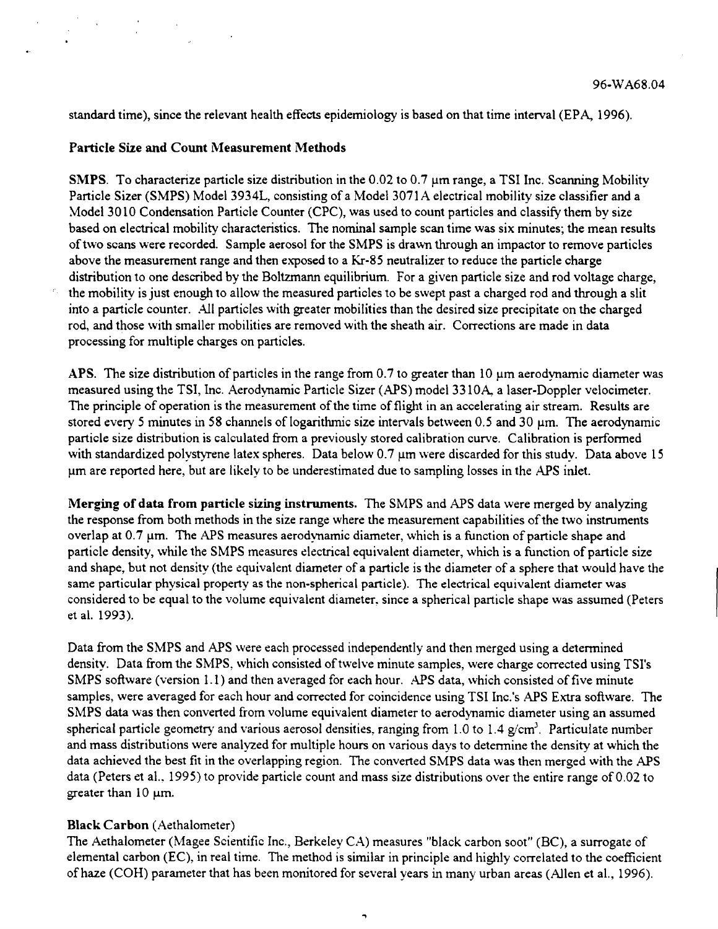standard time), since the relevant health effects epidemiology is based on that time interval (EPA, 1996).

## **Particle Size and Count Measurement Methods**

**SMPS.** To characterize particle size distribution in the 0.02 to 0.7 µm range, a TSI Inc. Scanning Mobility Particle Sizer **(SMPS)** Model 3934L, consisting of a Model 3071 A electrical mobility size classifier and a Model 3010 Condensation Particle Counter (CPC), was used to count particles and classify them by size based on electrical mobility characteristics. The nominal sample scan time was six minutes; the mean results oftwo scans were recorded. Sample aerosol for the SMPS is dram1 through an impactor to remove particles above the measurement range and then exposed to a Kr-85 neutralizer to reduce the particle charge distribution to one described by the Boltzmann equilibrium. For a given particle size and rod voltage charge, the mobility is just enough to allow the measured particles to be swept past a charged rod and through a slit into a particle counter. All particles with greater mobilities than the desired size precipitate on the charged rod, and those with smaller mobilities are removed with the sheath air. Corrections are made in data processing for multiple charges on particles.

**APS.** The size distribution of particles in the range from 0. 7 to greater than 10 µm aerodynamic diameter was measured using the TSI, Inc. Aerodynamic Particle Sizer (APS) model 33 lOA, a laser-Doppler velocimeter. The principle of operation is the measurement of the time of flight in an accelerating air stream. Results are stored every 5 minutes in 58 channels of logarithmic size intervals between  $0.5$  and  $30 \mu m$ . The aerodynamic particle size distribution is calculated from a previously stored calibration curve. Calibration is performed with standardized polystyrene latex spheres. Data below 0.7  $\mu$ m were discarded for this study. Data above 15 µmare reported here, but are likely to be underestimated due to sampling losses in the APS inlet.

**Merging of data from particle sizing instruments.** The SMPS and APS data were merged by analyzing the response from both methods in the size range where the measurement capabilities of the two instruments overlap at  $0.7 \mu m$ . The APS measures aerodynamic diameter, which is a function of particle shape and particle density, while the SMPS measures electrical equivalent diameter, which is a function of particle size and shape, but not density (the equivalent diameter of a particle is the diameter of a sphere that would have the same particular physical property as the non-spherical particle). The dectrical equivalent diameter was considered to be equal to the volume equivalent diameter, since a spherical particle shape was assumed (Peters et al. 1993).

Data from the SMPS and APS were each processed independently and then merged using a determined density. Data from the SMPS, which consisted of twelve minute samples, were charge corrected using TSI's SMPS software (version 1.1) and then averaged for each hour. APS data, which consisted of five minute samples, were averaged for each hour and corrected for coincidence using TSI lnc.'s APS Extra software. The SMPS data was then converted from volume equivalent diameter to aerodynamic diameter using an assumed spherical particle geometry and various aerosol densities, ranging from 1.0 to 1.4 g/cm<sup>3</sup>. Particulate number and mass distributions were analyzed for multiple hours on various days to determine the density at which the data achieved the best fit in the overlapping region. The converted SMPS data was then merged with the APS data (Peters et al., 1995) to provide particle count and mass size distributions over the entire range of 0.02 to greater than  $10 \mu m$ .

#### **Black Carbon** (Aethalometer)

The Aethalometer (Magee Scientific Inc., Berkeley CA) measures "black carbon soot" (BC), a surrogate of elemental carbon (EC), in real time. The method is similar in principle and highly correlated to the coefficient of haze (COH) parameter that has been monitored for several years in many urban areas (Allen et al., 1996).

..,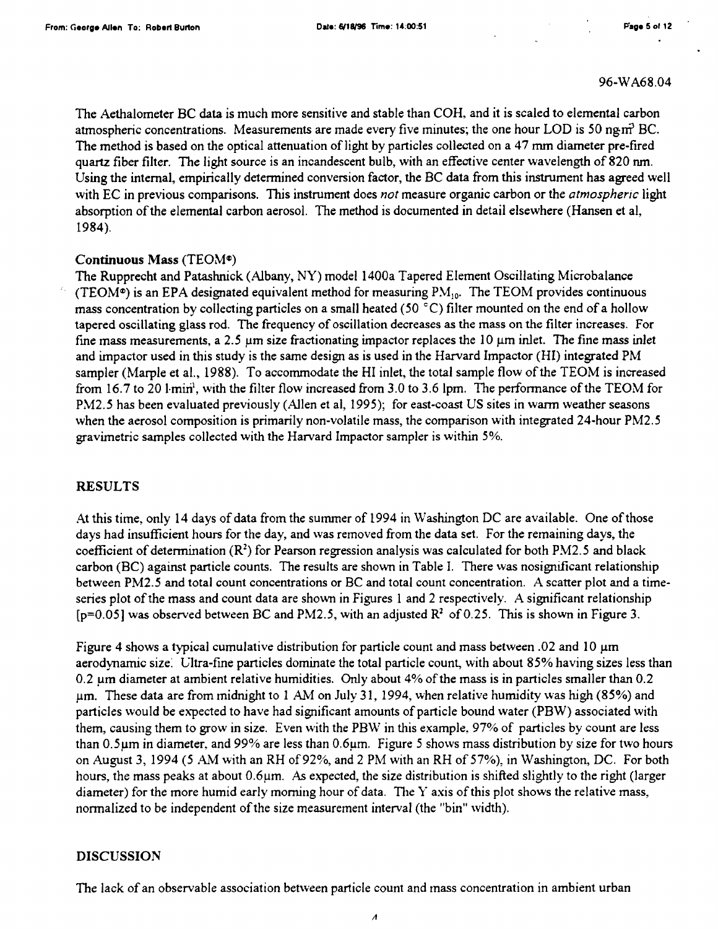The Aethalometer BC data is much more sensitive and stable than COH, and it is scaled to elemental carbon atmospheric concentrations. Measurements are made every five minutes; the one hour LOD is 50 ng $m<sup>2</sup>$  BC. The method is based on the optical attenuation of light by particles collected on a 47 mm diameter pre-fired quartz fiber filter. The light source is an incandescent bulb, with an effective center wavelength of 820 nm. Using the internal, empirically determined conversion factor, the BC data from this instrument has agreed well with EC in previous comparisons. This instrument does *not* measure organic carbon or the *atmospheric* light absorption of the elemental carbon aerosol. The method is documented in detail elsewhere (Hansen et al, 1984).

## Continuous Mass (TEOM<sup>®</sup>)

The Rupprecht and Patashnick (Albany, NY) model 1400a Tapered Element Oscillating Microbalance (TEOM<sup>®</sup>) is an EPA designated equivalent method for measuring  $PM_{10}$ . The TEOM provides continuous mass concentration by collecting particles on a small heated (50 °C) filter mounted on the end of a hollow tapered oscillating glass rod. The frequency of oscillation decreases as the mass on the filter increases. For fine mass measurements, a 2.5  $\mu$ m size fractionating impactor replaces the 10  $\mu$ m inlet. The fine mass inlet and impactor used in this study is the same design as is used in the Harvard Impactor (HI) integrated PM sampler (Marple et al., 1988). To accommodate the HI inlet, the total sample flow ofthe TEOM is increased from 16.7 to 20 1 $\,\mathrm{min}^1$ , with the filter flow increased from 3.0 to 3.6 1pm. The performance of the TEOM for PM2.5 has been evaluated previously (Allen et al, 1995); for east-coast US sites in warm weather seasons when the aerosol composition is primarily non-volatile mass, the comparison with integrated 24-hour PM2.5 gravimetric samples collected with the Harvard Impactor sampler is within 5%.

# **RESULTS**

At this time, only 14 days of data from the summer of 1994 in Washington DC are available. One ofthose days had insufficient hours for the day, and was removed from the data set. For the remaining days, the coefficient of determination **(R<sup>2</sup> )** for Pearson regression analysis was calculated for both PM2.5 and black carbon (BC) against particle counts. The results are shown in Table I. There was nosignificant relationship between PM2.5 and total count concentrations or BC and total count concentration. A scatter plot and a timeseries plot of the mass and count data are shown in Figures 1 and 2 respectively. A significant relationship [p=0.05] was observed between BC and PM2.5, with an adjusted *R2* of0.25. This is shown in Figure 3.

Figure 4 shows a typical cumulative distribution for particle count and mass between .02 and 10 µm aerodynamic size: Gltra-fine particles dominate the total particle count, with about 85% having sizes less than 0.2 um diameter at ambient relative humidities. Only about 4% of the mass is in particles smaller than 0.2 µm. These data are from midnight to 1 AM on July 31, 1994, when relative humidity was high **(85%)** and particles would be expected to have had significant amounts of particle bound water (PBW) associated with them, causing them to grow in size. Even with the PBW in this example, 97% of particles by count are less than 0.5µm in diameter, and 99% are less than 0.6µm. Figure *5* shows mass distribution by size for two hours on August 3, 1994 (5 AM with an RH of 92%, and 2 PM with an RH of 57%), in Washington, DC. For both hours, the mass peaks at about 0.6µm. As expected, the size distribution is shifted slightly to the right (larger diameter) for the more humid early morning hour of data. The  $Y$  axis of this plot shows the relative mass, normalized to be independent of the size measurement interval (the "bin" width).

# **DISCUSSION**

The lack of an observable association between particle count and mass concentration in ambient urban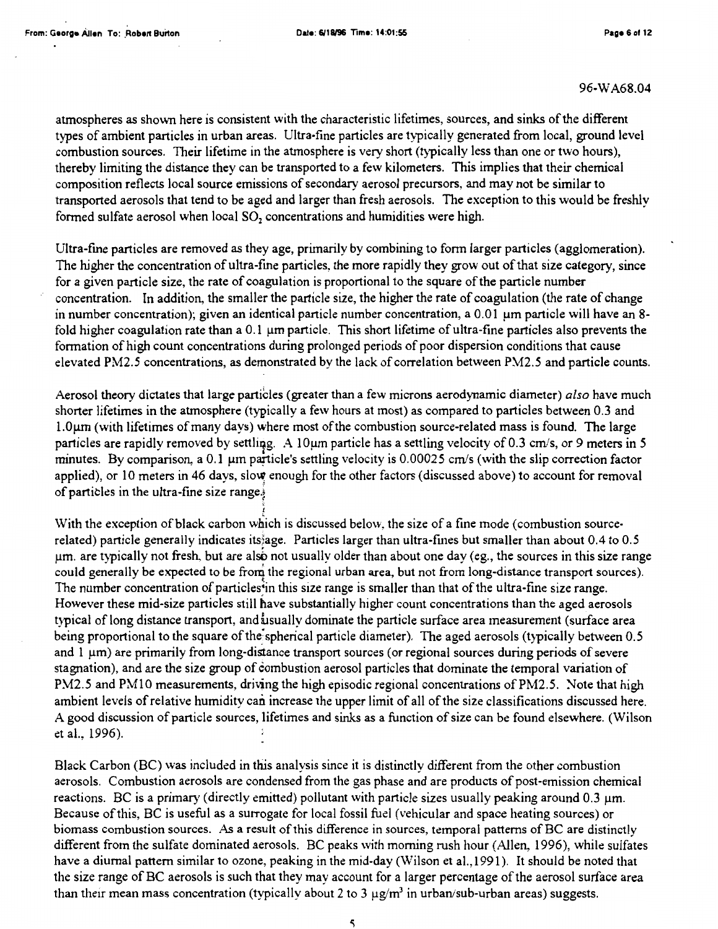atmospheres as shown here is consistent with the characteristic lifetimes, sources, and sinks of the different types of ambient particles in urban areas. Ultra-fine particles are typically generated from local, ground level combustion sources. Their lifetime in the atmosphere is very short (typically less than one or two hours), thereby limiting the distance they can be transported to a few kilometers. This implies that their chemical composition reflects local source emissions of secondary aerosol precursors, and may not be similar to transported aerosols that tend to be aged and larger than fresh aerosols. The exception to this would be freshly formed sulfate aerosol when local  $SO<sub>2</sub>$  concentrations and humidities were high.

Ultra-fine particles are removed as they age, primarily by combining to form larger particles (agglomeration). The higher the concentration of ultra-fine particles, the more rapidly they grow out of that size category, since for a given particle size, the rate of coagulation is proportional to the square ofthe particle number concentration. In addition, the smaller the particle size, the higher the rate of coagulation (the rate of change in number concentration); given an identical particle number concentration, a 0.01 µm particle will have an 8 fold higher coagulation rate than a  $0.1 \mu m$  particle. This short lifetime of ultra-fine particles also prevents the formation of high count concentrations during prolonged periods of poor dispersion conditions that cause elevated PM2.5 concentrations, as demonstrated by the lack of correlation between PM2.5 and particle counts.

Aerosol theory dictates that large particles (greater than a few microns aerodynamic diameter) *also* have much shorter lifetimes in the atmosphere (typically a few hours at most) as compared to particles between 0.3 and l.0µm (with lifetimes ofmany days) where most ofthe combustion source-related mass is found. The large particles are rapidly removed by settling. A 10 $\mu$ m particle has a settling velocity of 0.3 cm/s, or 9 meters in 5 minutes. By comparison, a  $0.1 \mu m$  particle's settling velocity is  $0.00025 \text{ cm/s}$  (with the slip correction factor applied), or 10 meters in 46 days, slow enough for the other factors (discussed above) to account for removal of particles in the ultra-fine size range. $\frac{1}{2}$ 

With the exception of black carbon which is discussed below, the size of a fine mode (combustion sourcerelated) particle generally indicates its}age. Particles larger than ultra-fmes but smaller than about 0.4 to 0.5  $\mu$ m. are typically not fresh, but are also not usually older than about one day (eg., the sources in this size range could generally be expected to be from the regional urban area, but not from long-distance transport sources).<br>The number concentration of particles\*in this size range is smaller than that of the ultra-fine size range. However these mid-size particles still have substantially higher count concentrations than the aged aerosols typical of long distance transport, and usually dominate the particle surface area measurement (surface area being proportional to the square of the spherical particle diameter). The aged aerosols (typically between 0.5 and 1  $\mu$ m) are primarily from long-distance transport sources (or regional sources during periods of severe stagnation), and are the size group of combustion aerosol particles that dominate the temporal variation of PM2.5 and PM10 measurements, driving the high episodic regional concentrations of PM2.5. Note that high ambient levels of relative humidity can increase the upper limit of all of the size classifications discussed here. A good discussion of particle sources, lifetimes and sinks as a function ofsize can be found elsewhere. (Wilson et al., 1996).

Black Carbon (BC) was included in this analysis since it is distinctly different from the other combustion aerosols. Combustion aerosols are condensed from the gas phase and are products of post-emission chemical reactions. BC is a primary (directly emitted) pollutant with particle sizes usually peaking around  $0.3 \mu m$ . Because ofthis, BC is useful as a surrogate for local fossil fuel (vehicular and space heating sources) or biomass combustion sources. As a result ofthis difference in sources, temporal patterns of BC are distinctly different from the sulfate dominated aerosols. BC peaks with morning rush hour (Allen, 1996), while sulfates have a diurnal pattern similar to ozone, peaking in the mid-day (Wilson et al.,1991). It should be noted that the size range of BC aerosols is such that they may account for a larger percentage of the aerosol surface area than their mean mass concentration (typically about 2 to 3  $\mu$ g/m<sup>3</sup> in urban/sub-urban areas) suggests.

5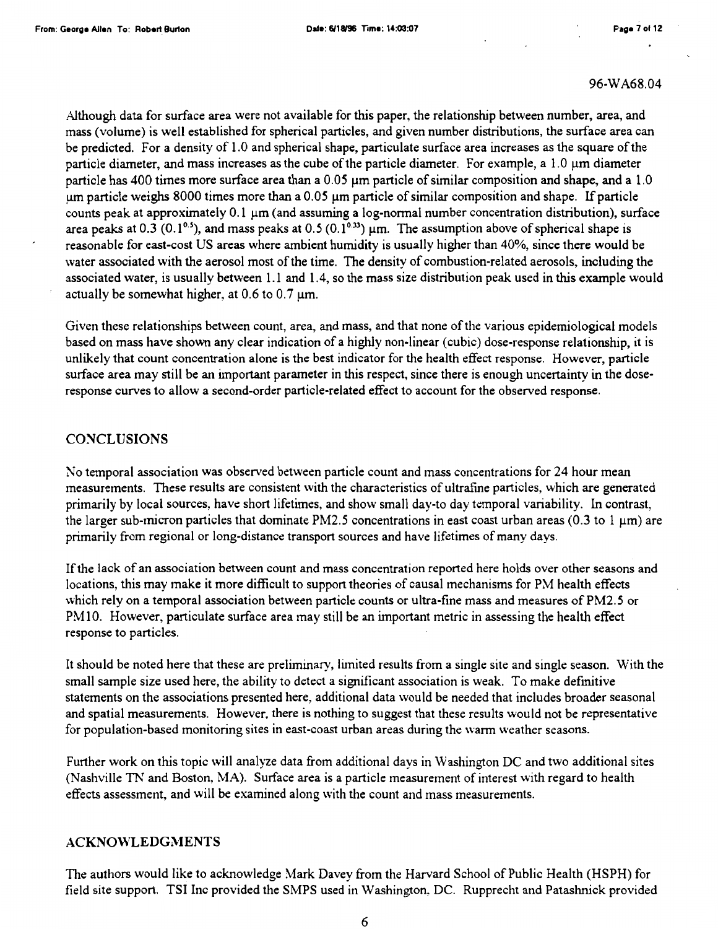Although data for surface area were not available for this paper, the relationship between number, area, and mass (volume) is well established for spherical particles, and given number distributions, the surface area can be predicted. For a density of 1.0 and spherical shape, particulate surface area increases as the square ofthe particle diameter, and mass increases as the cube of the particle diameter. For example, a  $1.0 \mu m$  diameter particle has 400 times more surface area than a 0.05 µm particle ofsimilar composition and shape, and a 1.0 um particle weighs 8000 times more than a 0.05 um particle of similar composition and shape. If particle counts peak at approximately 0.1 µm (and assuming a log-normal number concentration distribution), surface area peaks at 0.3 (0.1<sup>0.5</sup>), and mass peaks at 0.5 (0.1<sup>0.33</sup>) µm. The assumption above of spherical shape is reasonable for east-cost US areas where ambient humidity is usually higher than 40%, since there would be water associated with the aerosol most of the time. The density of combustion-related aerosols, including the associated water, is usually between 1.1 and 1.4, so the mass size distribution peak used in this example would actually be somewhat higher, at  $0.6$  to  $0.7 \mu m$ .

Given these relationships between count, area, and mass, and that none ofthe various epidemiological models based on mass have shown any clear indication of a highly non-linear (cubic) dose-response relationship, it is unlikely that count concentration alone is the best indicator for the health effect response. However, particle surface area may still be an important parameter in this respect, since there is enough uncertainty in the doseresponse curves to allow a second-order particle-related effect to account for the observed response.

## **CONCLUSIONS**

No temporal association was observed between particle count and mass concentrations for 24 hour mean measurements. These results are consistent with the characteristics of ultrafine particles, which are generated primarily by local sources, have short lifetimes, and show small day-to day temporal variability. In contrast, the larger sub-micron particles that dominate PM2.5 concentrations in east coast urban areas (0.3 to 1  $\mu$ m) are primarily from regional or long-distance transport sources and have lifetimes of many days.

If the lack of an association between count and mass concentration reported here holds over other seasons and locations, this may make it more difficult to support theories of causal mechanisms for PM health effects which rely on a temporal association between particle counts or ultra-fine mass and measures of PM2.5 or PM 10. However, particulate surface area may still be an important metric in assessing the health effect response to particles.

It should be noted here that these are preliminary, limited results from a single site and single season. With the small sample size used here, the ability to detect a significant association is weak. To make definitive statements on the associations presented here, additional data would be needed that includes broader seasonal and spatial measurements. However, there is nothing to suggest that these results would not be representative for population-based monitoring sites in east-coast urban areas during the warm weather seasons.

Further work on this topic will analyze data from additional days in Washington DC and two additional sites (Nashville Th' and Boston, MA). Surface area is a particle measurement of interest with regard to health effects assessment, and will be examined along with the count and mass measurements.

### **ACKNO\VLEDGMENTS**

The authors would like to acknowledge Mark Davey from the Harvard School of Public Health (HSPH) for field site support. TSI Inc provided the SMPS used in Washington, DC. Rupprecht and Patashnick provided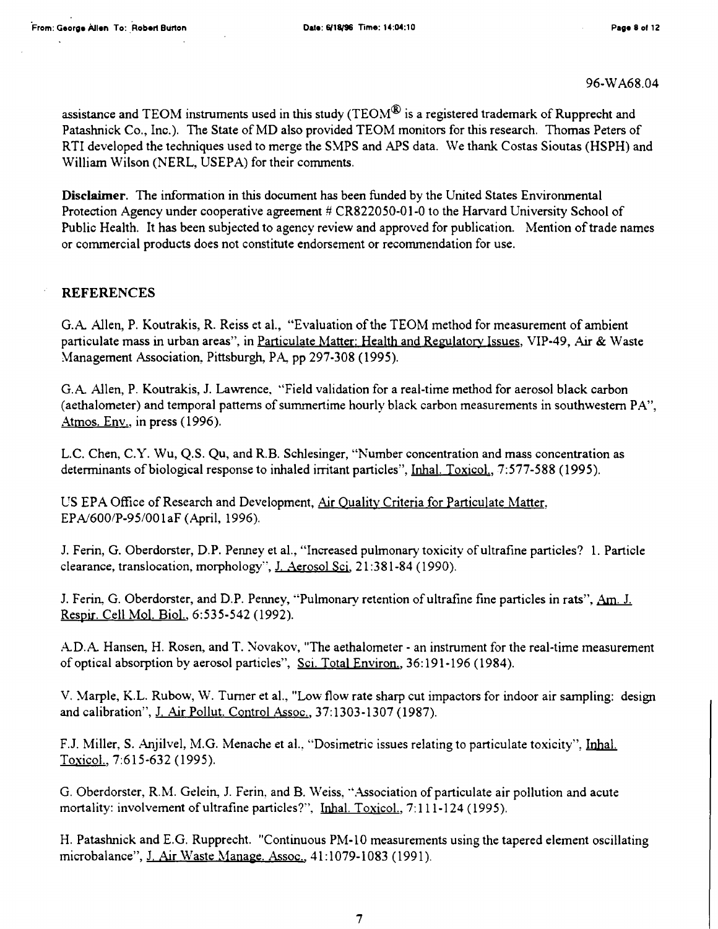assistance and TEOM instruments used in this study (TEOM $^{\circledR}$  is a registered trademark of Rupprecht and Patashnick Co., Inc.). The State of MD also provided TEOM monitors for this research. Thomas Peters of RTI developed the techniques used to merge the SMPS and APS data. We thank Costas Sioutas (HSPH) and William Wilson (NERL, USEPA) for their comments.

**Disclaimer.** The information in this document has been funded by the United States Environmental Protection Agency under cooperative agreement # CR822050-01-0 to the Harvard University School of Public Health. It has been subjected to agency review and approved for publication. Mention of trade names or commercial products does not constitute endorsement or recommendation for use.

## **REFERENCES**

G.A Allen, P. Koutrakis, R. Reiss et al., "Evaluation ofthe TEOM method for measurement of ambient particulate mass in urban areas", in Particulate Matter: Health and Regulatory Issues, VIP-49, Air & Waste Management Association, Pittsburgh, PA, pp 297-308 (1995).

G.A Allen, P. Koutrakis, J. Lawrence, ''Field validation for a real-time method for aerosol black carbon (aethalometer) and temporal patterns of summertime hourly black carbon measurements in southwestern PA", Atmos. Env., in press ( 1996).

L.C. Chen, C.Y. Wu, Q.S. Qu, and R.B. Schlesinger, "Number concentration and mass concentration as determinants of biological response to inhaled irritant particles", Inhal. Toxicol., 7:577-588 (1995).

US EPA Office of Research and Development, Air Quality Criteria for Particulate Matter, EPN600/P-95/001aF (April, 1996).

J. Ferin, G. Oberdorster, D.P. Penney et al., "Increased pulmonary toxicity of ultrafine particles? 1. Particle clearance, translocation, morphology", J. Aerosol Scj. 21 :381-84 ( 1990).

J. Ferin, G. Oberdorster, and D.P. Penney, "Pulmonary retention of ultrafine fine particles in rats", Am. J. Respir. Cell Mol. Biol.. 6:535-542 (1992).

A.D.A. Hansen, H. Rosen, and T. Novakov, "The aethalometer - an instrument for the real-time measurement of optical absorption by aerosol particles", Sci. Total Environ., 36: 191-196 (1984).

V. Marple, KL. Rubow, W. Turner et al., "Low flow rate sharp cut impactors for indoor air sampling: design and calibration", J, Air Pollut. Control Assoc., 37:1303-1307 (1987).

F.J. Miller, S. Anjilvel, M.G. Menache et al., "Dosimetric issues relating to particulate toxicity", Inhal. Toxicol., 7:615-632 (1995).

G. Oberdorster, R.M. Gelein, J. Ferin, and B. Weiss, "Association of particulate air pollution and acute mortality: involvement of ultrafine particles?", Inhal. Toxicol., 7: 111-124 (1995).

H. Patashnick and E.G. Rupprecht. "Continuous PM-10 measurements using the tapered element oscillating microbalance", J. Air Waste Manage. Assoc., 41:1079-1083 (1991).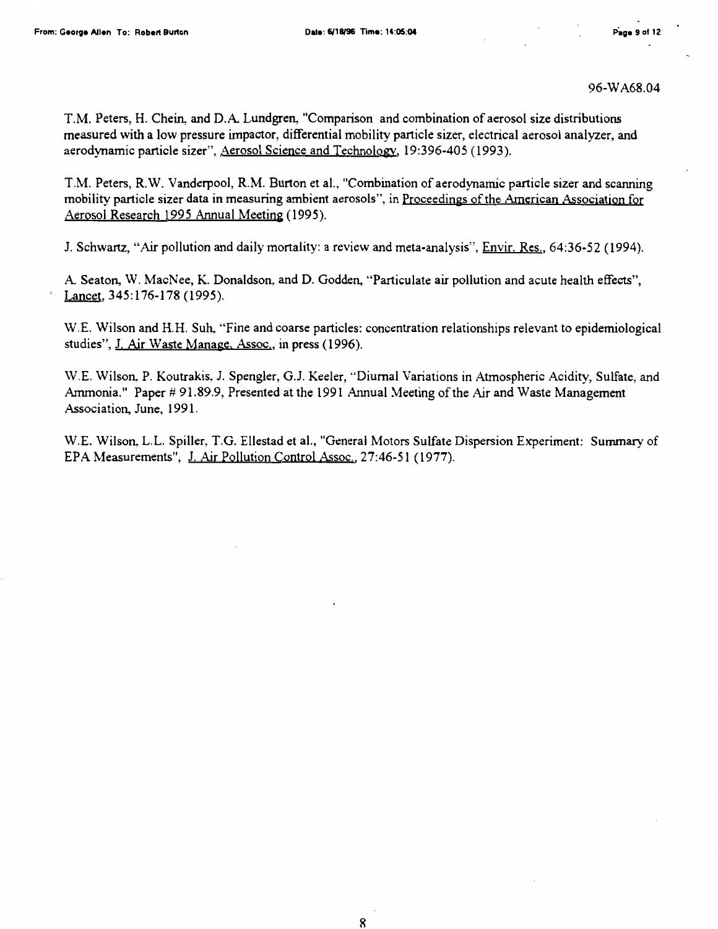T.M. Peters, H. Chein, and D.A Lundgren, "Comparison and combination of aerosol size distributions measured with a low pressure impactor, differential mobility particle sizer, electrical aerosol analyzer, and aerodynamic particle sizer", Aerosol Science and Technology. 19:396-405 (1993).

T.M. Peters, R.W. Vanderpool, R.M. Burton et al., "Combination of aerodynamic particle sizer and scanning mobility particle sizer data in measuring ambient aerosols", in Proceedings ofthe American Association for Aerosol Research 1995 Annual Meeting (1995).

J. Schwartz, "Air pollution and daily mortality: a review and meta-analysis", Envir. Res., 64:36-52 (1994).

A Seaton, W. MacNee, K. Donaldson, and D. Godden, "Particulate air pollution and acute health effects", Lancet, 345:176-178 (1995).

W.E. Wilson and H.H. Suh, "Fine and coarse particles: concentration relationships relevant to epidemiological studies", J. Air Waste Manage, Assoc., in press (1996).

W.E. Wilson, P. Koutrakis, J. Spengler, G.J. Keeler, "Diurnal Variations in Atmospheric Acidity, Sulfate, and Ammonia." Paper # 91.89.9, Presented at the 1991 Annual Meeting of the Air and Waste Management Association, June, 1991.

W.E. Wilson, L.L. Spiller, T.G. Ellestad et al., "General Motors Sulfate Dispersion Experiment: Summary of EPA Measurements", J. Air Pollution Control Assoc., 27:46-51 (1977).

8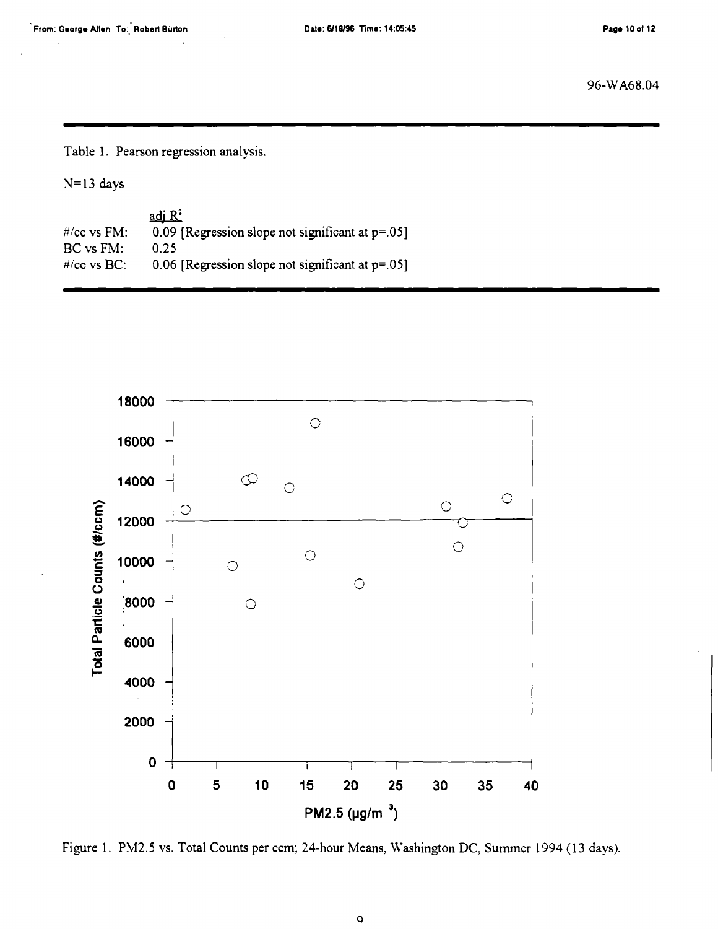Table 1. Pearson regression analysis.

 $N=13$  days

|                          | adj $R^2$                                              |
|--------------------------|--------------------------------------------------------|
| $\frac{H}{cc}$ vs $FM$ : | 0.09 [Regression slope not significant at $p = 0.05$ ] |
| BC vs FM:                | 0.25                                                   |
| $\#$ /cc vs $BC$ :       | $0.06$ [Regression slope not significant at $p=.05$ ]  |



Figure 1. PM2.5 vs. Total Counts per ccm; 24-hour Means, Washington DC, Summer 1994 ( 13 days).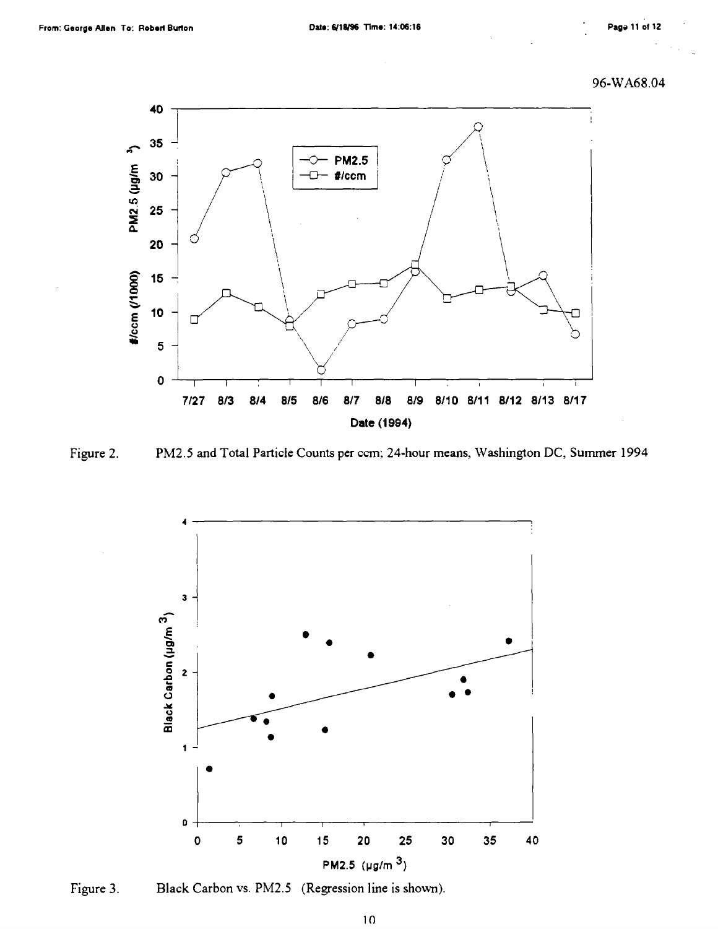96-WA68.04







Figure 3. Black Carbon vs. PM2.5 (Regression line is shown).